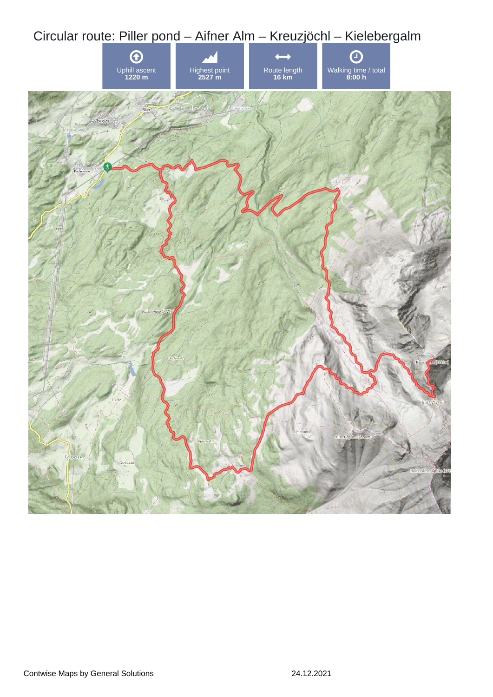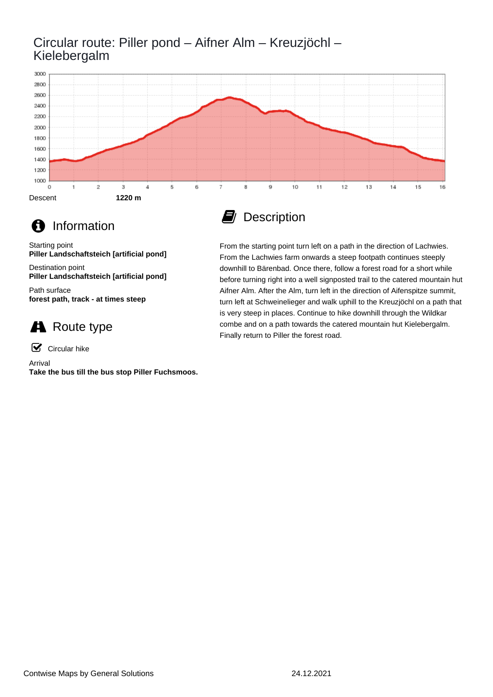### Circular route: Piller pond – Aifner Alm – Kreuzjöchl – Kielebergalm





### **f** Information

Starting point **Piller Landschaftsteich [artificial pond]**

Destination point **Piller Landschaftsteich [artificial pond]**

Path surface **forest path, track - at times steep**

## **A** Route type

☑ Circular hike

Arrival

**Take the bus till the bus stop Piller Fuchsmoos.**

## **D** Description

From the starting point turn left on a path in the direction of Lachwies. From the Lachwies farm onwards a steep footpath continues steeply downhill to Bärenbad. Once there, follow a forest road for a short while before turning right into a well signposted trail to the catered mountain hut Aifner Alm. After the Alm, turn left in the direction of Aifenspitze summit, turn left at Schweinelieger and walk uphill to the Kreuzjöchl on a path that is very steep in places. Continue to hike downhill through the Wildkar combe and on a path towards the catered mountain hut Kielebergalm. Finally return to Piller the forest road.